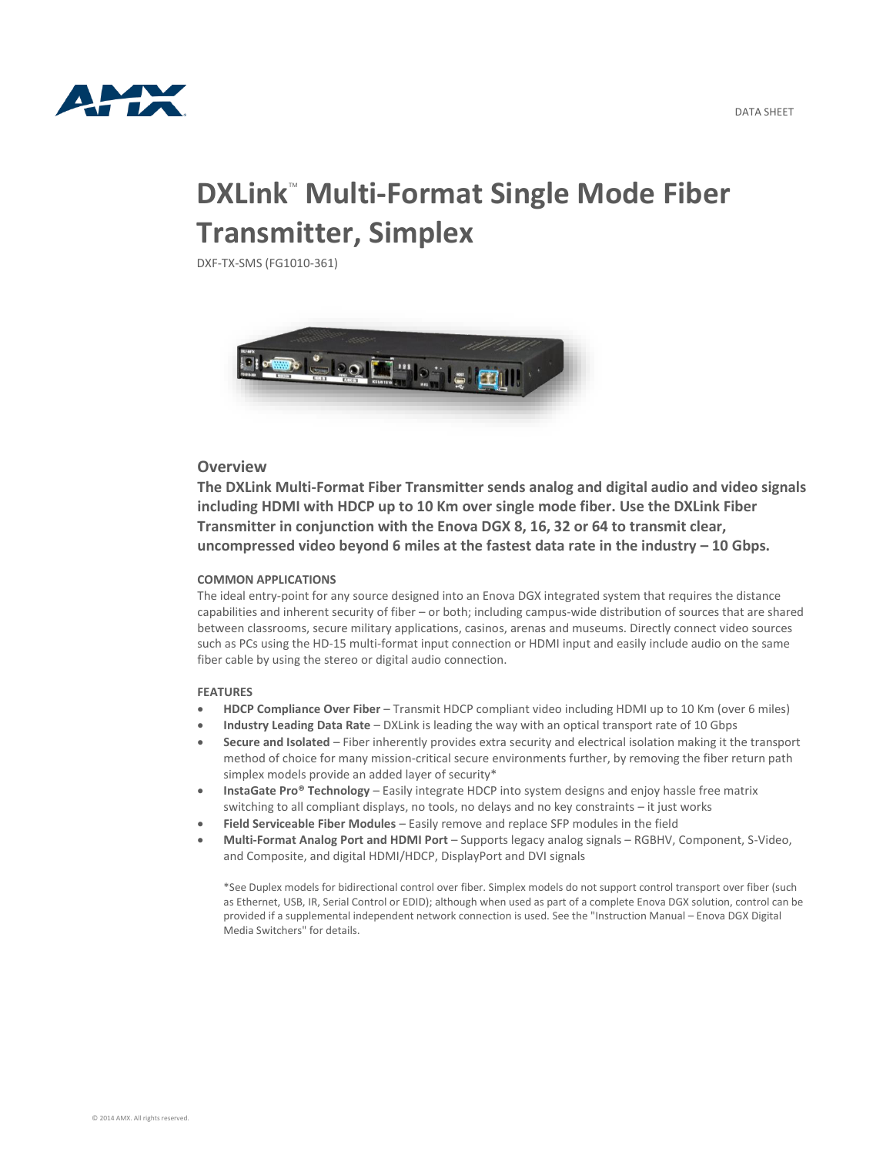

# **DXLink<sup>"</sup> Multi-Format Single Mode Fiber Transmitter, Simplex**

DXF-TX-SMS (FG1010-361)



## **Overview**

**The DXLink Multi-Format Fiber Transmitter sends analog and digital audio and video signals including HDMI with HDCP up to 10 Km over single mode fiber. Use the DXLink Fiber Transmitter in conjunction with the Enova DGX 8, 16, 32 or 64 to transmit clear, uncompressed video beyond 6 miles at the fastest data rate in the industry – 10 Gbps.**

#### **COMMON APPLICATIONS**

The ideal entry-point for any source designed into an Enova DGX integrated system that requires the distance capabilities and inherent security of fiber – or both; including campus-wide distribution of sources that are shared between classrooms, secure military applications, casinos, arenas and museums. Directly connect video sources such as PCs using the HD-15 multi-format input connection or HDMI input and easily include audio on the same fiber cable by using the stereo or digital audio connection.

### **FEATURES**

- **HDCP Compliance Over Fiber** Transmit HDCP compliant video including HDMI up to 10 Km (over 6 miles)
- **Industry Leading Data Rate** DXLink is leading the way with an optical transport rate of 10 Gbps
- **Secure and Isolated** Fiber inherently provides extra security and electrical isolation making it the transport method of choice for many mission-critical secure environments further, by removing the fiber return path simplex models provide an added layer of security\*
- **InstaGate Pro® Technology** Easily integrate HDCP into system designs and enjoy hassle free matrix switching to all compliant displays, no tools, no delays and no key constraints – it just works
- **Field Serviceable Fiber Modules** Easily remove and replace SFP modules in the field
- **Multi-Format Analog Port and HDMI Port** Supports legacy analog signals RGBHV, Component, S-Video, and Composite, and digital HDMI/HDCP, DisplayPort and DVI signals

\*See Duplex models for bidirectional control over fiber. Simplex models do not support control transport over fiber (such as Ethernet, USB, IR, Serial Control or EDID); although when used as part of a complete Enova DGX solution, control can be provided if a supplemental independent network connection is used. See the "Instruction Manual – Enova DGX Digital Media Switchers" for details.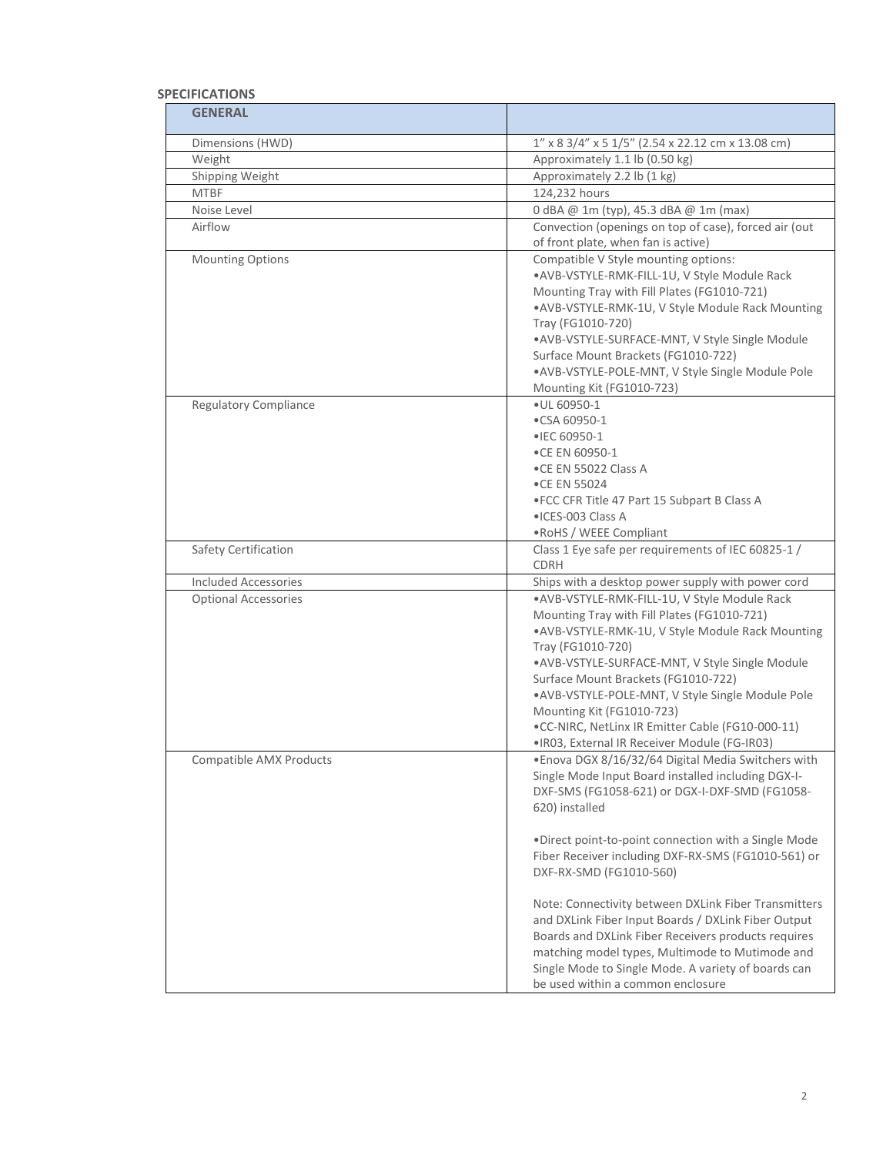## **SPECIFICATIONS**

| <b>GENERAL</b>               |                                                                                                             |
|------------------------------|-------------------------------------------------------------------------------------------------------------|
| Dimensions (HWD)             | 1" x 8 3/4" x 5 1/5" (2.54 x 22.12 cm x 13.08 cm)                                                           |
| Weight                       | Approximately 1.1 lb (0.50 kg)                                                                              |
| Shipping Weight              | Approximately 2.2 lb (1 kg)                                                                                 |
| <b>MTBF</b>                  | 124,232 hours                                                                                               |
| Noise Level                  | 0 dBA @ 1m (typ), 45.3 dBA @ 1m (max)                                                                       |
| Airflow                      | Convection (openings on top of case), forced air (out                                                       |
|                              | of front plate, when fan is active)<br>Compatible V Style mounting options:                                 |
| <b>Mounting Options</b>      | .AVB-VSTYLE-RMK-FILL-1U, V Style Module Rack                                                                |
|                              | Mounting Tray with Fill Plates (FG1010-721)                                                                 |
|                              | .AVB-VSTYLE-RMK-1U, V Style Module Rack Mounting                                                            |
|                              | Tray (FG1010-720)                                                                                           |
|                              | • AVB-VSTYLE-SURFACE-MNT, V Style Single Module                                                             |
|                              | Surface Mount Brackets (FG1010-722)                                                                         |
|                              | .AVB-VSTYLE-POLE-MNT, V Style Single Module Pole                                                            |
|                              | Mounting Kit (FG1010-723)                                                                                   |
| <b>Regulatory Compliance</b> | · UL 60950-1                                                                                                |
|                              | •CSA 60950-1                                                                                                |
|                              | •IEC 60950-1                                                                                                |
|                              | •CE EN 60950-1<br>.CE EN 55022 Class A                                                                      |
|                              | •CE EN 55024                                                                                                |
|                              | . FCC CFR Title 47 Part 15 Subpart B Class A                                                                |
|                              | • ICES-003 Class A                                                                                          |
|                              | • RoHS / WEEE Compliant                                                                                     |
| Safety Certification         | Class 1 Eye safe per requirements of IEC 60825-1 /                                                          |
|                              | CDRH                                                                                                        |
| <b>Included Accessories</b>  | Ships with a desktop power supply with power cord                                                           |
| <b>Optional Accessories</b>  | .AVB-VSTYLE-RMK-FILL-1U, V Style Module Rack                                                                |
|                              | Mounting Tray with Fill Plates (FG1010-721)                                                                 |
|                              | .AVB-VSTYLE-RMK-1U, V Style Module Rack Mounting                                                            |
|                              | Tray (FG1010-720)<br>• AVB-VSTYLE-SURFACE-MNT, V Style Single Module                                        |
|                              | Surface Mount Brackets (FG1010-722)                                                                         |
|                              | .AVB-VSTYLE-POLE-MNT, V Style Single Module Pole                                                            |
|                              | Mounting Kit (FG1010-723)                                                                                   |
|                              | .CC-NIRC, NetLinx IR Emitter Cable (FG10-000-11)                                                            |
|                              | .IR03, External IR Receiver Module (FG-IR03)                                                                |
| Compatible AMX Products      | . Enova DGX 8/16/32/64 Digital Media Switchers with                                                         |
|                              | Single Mode Input Board installed including DGX-I-                                                          |
|                              | DXF-SMS (FG1058-621) or DGX-I-DXF-SMD (FG1058-                                                              |
|                              | 620) installed                                                                                              |
|                              |                                                                                                             |
|                              | .Direct point-to-point connection with a Single Mode<br>Fiber Receiver including DXF-RX-SMS (FG1010-561) or |
|                              | DXF-RX-SMD (FG1010-560)                                                                                     |
|                              |                                                                                                             |
|                              | Note: Connectivity between DXLink Fiber Transmitters                                                        |
|                              | and DXLink Fiber Input Boards / DXLink Fiber Output                                                         |
|                              | Boards and DXLink Fiber Receivers products requires                                                         |
|                              | matching model types, Multimode to Mutimode and                                                             |
|                              | Single Mode to Single Mode. A variety of boards can                                                         |
|                              | be used within a common enclosure                                                                           |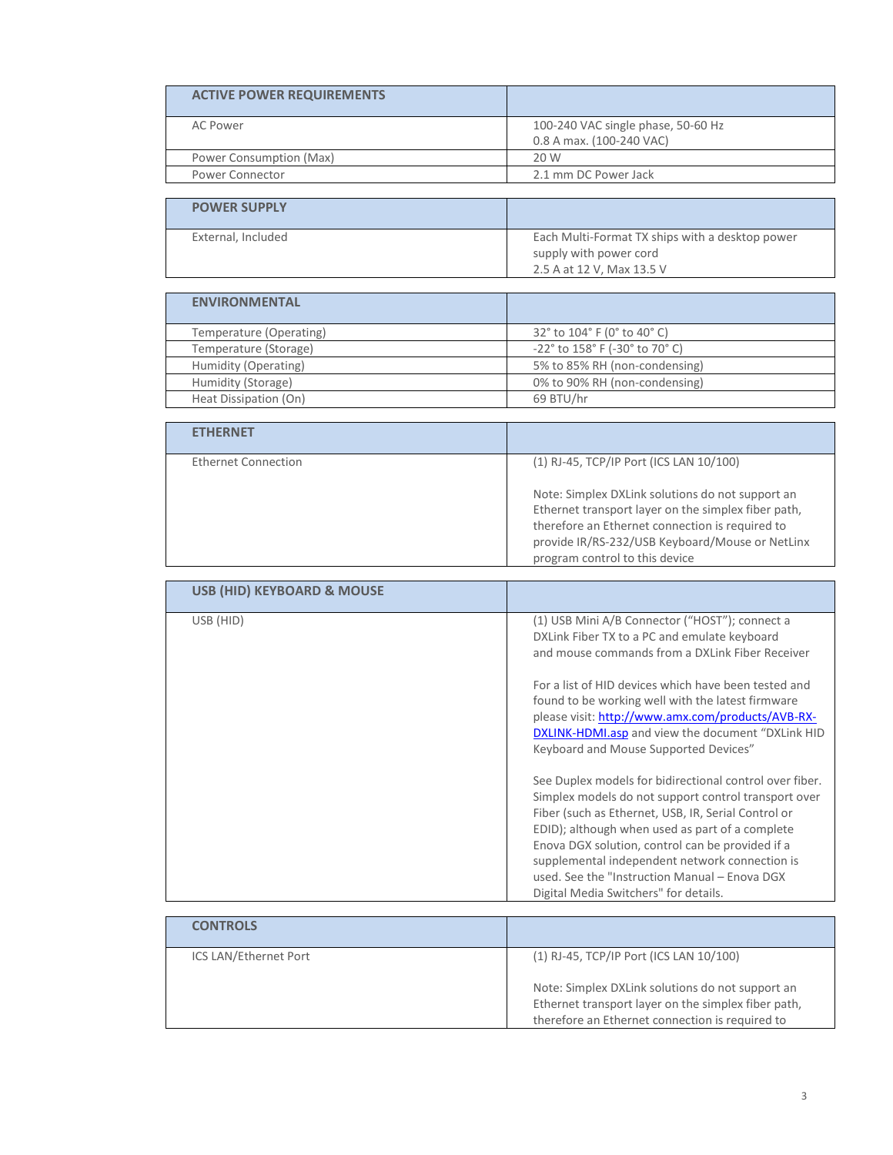| <b>ACTIVE POWER REQUIREMENTS</b>      |                                                                                                                                                                                                                                                                                                                                                                                                                                                                                                                                                                                                                                                                                                                                                                                                                                                       |
|---------------------------------------|-------------------------------------------------------------------------------------------------------------------------------------------------------------------------------------------------------------------------------------------------------------------------------------------------------------------------------------------------------------------------------------------------------------------------------------------------------------------------------------------------------------------------------------------------------------------------------------------------------------------------------------------------------------------------------------------------------------------------------------------------------------------------------------------------------------------------------------------------------|
| <b>AC Power</b>                       | 100-240 VAC single phase, 50-60 Hz<br>0.8 A max. (100-240 VAC)                                                                                                                                                                                                                                                                                                                                                                                                                                                                                                                                                                                                                                                                                                                                                                                        |
| Power Consumption (Max)               | 20 W                                                                                                                                                                                                                                                                                                                                                                                                                                                                                                                                                                                                                                                                                                                                                                                                                                                  |
| Power Connector                       | 2.1 mm DC Power Jack                                                                                                                                                                                                                                                                                                                                                                                                                                                                                                                                                                                                                                                                                                                                                                                                                                  |
|                                       |                                                                                                                                                                                                                                                                                                                                                                                                                                                                                                                                                                                                                                                                                                                                                                                                                                                       |
| <b>POWER SUPPLY</b>                   |                                                                                                                                                                                                                                                                                                                                                                                                                                                                                                                                                                                                                                                                                                                                                                                                                                                       |
| External, Included                    | Each Multi-Format TX ships with a desktop power<br>supply with power cord                                                                                                                                                                                                                                                                                                                                                                                                                                                                                                                                                                                                                                                                                                                                                                             |
|                                       | 2.5 A at 12 V, Max 13.5 V                                                                                                                                                                                                                                                                                                                                                                                                                                                                                                                                                                                                                                                                                                                                                                                                                             |
| <b>ENVIRONMENTAL</b>                  |                                                                                                                                                                                                                                                                                                                                                                                                                                                                                                                                                                                                                                                                                                                                                                                                                                                       |
| Temperature (Operating)               | 32° to 104° F (0° to 40° C)                                                                                                                                                                                                                                                                                                                                                                                                                                                                                                                                                                                                                                                                                                                                                                                                                           |
| Temperature (Storage)                 | -22° to 158° F (-30° to 70° C)                                                                                                                                                                                                                                                                                                                                                                                                                                                                                                                                                                                                                                                                                                                                                                                                                        |
| Humidity (Operating)                  | 5% to 85% RH (non-condensing)                                                                                                                                                                                                                                                                                                                                                                                                                                                                                                                                                                                                                                                                                                                                                                                                                         |
| Humidity (Storage)                    | 0% to 90% RH (non-condensing)                                                                                                                                                                                                                                                                                                                                                                                                                                                                                                                                                                                                                                                                                                                                                                                                                         |
| Heat Dissipation (On)                 | 69 BTU/hr                                                                                                                                                                                                                                                                                                                                                                                                                                                                                                                                                                                                                                                                                                                                                                                                                                             |
|                                       |                                                                                                                                                                                                                                                                                                                                                                                                                                                                                                                                                                                                                                                                                                                                                                                                                                                       |
| <b>ETHERNET</b>                       |                                                                                                                                                                                                                                                                                                                                                                                                                                                                                                                                                                                                                                                                                                                                                                                                                                                       |
| <b>Ethernet Connection</b>            | (1) RJ-45, TCP/IP Port (ICS LAN 10/100)                                                                                                                                                                                                                                                                                                                                                                                                                                                                                                                                                                                                                                                                                                                                                                                                               |
|                                       | Note: Simplex DXLink solutions do not support an<br>Ethernet transport layer on the simplex fiber path,<br>therefore an Ethernet connection is required to<br>provide IR/RS-232/USB Keyboard/Mouse or NetLinx<br>program control to this device                                                                                                                                                                                                                                                                                                                                                                                                                                                                                                                                                                                                       |
|                                       |                                                                                                                                                                                                                                                                                                                                                                                                                                                                                                                                                                                                                                                                                                                                                                                                                                                       |
| <b>USB (HID) KEYBOARD &amp; MOUSE</b> |                                                                                                                                                                                                                                                                                                                                                                                                                                                                                                                                                                                                                                                                                                                                                                                                                                                       |
| USB (HID)                             | (1) USB Mini A/B Connector ("HOST"); connect a<br>DXLink Fiber TX to a PC and emulate keyboard<br>and mouse commands from a DXLink Fiber Receiver<br>For a list of HID devices which have been tested and<br>found to be working well with the latest firmware<br>please visit: http://www.amx.com/products/AVB-RX-<br><b>DXLINK-HDMI.asp</b> and view the document "DXLink HID<br>Keyboard and Mouse Supported Devices"<br>See Duplex models for bidirectional control over fiber.<br>Simplex models do not support control transport over<br>Fiber (such as Ethernet, USB, IR, Serial Control or<br>EDID); although when used as part of a complete<br>Enova DGX solution, control can be provided if a<br>supplemental independent network connection is<br>used. See the "Instruction Manual - Enova DGX<br>Digital Media Switchers" for details. |
| <b>CONTROLS</b>                       |                                                                                                                                                                                                                                                                                                                                                                                                                                                                                                                                                                                                                                                                                                                                                                                                                                                       |
| ICS LAN/Ethernet Port                 | (1) RJ-45, TCP/IP Port (ICS LAN 10/100)                                                                                                                                                                                                                                                                                                                                                                                                                                                                                                                                                                                                                                                                                                                                                                                                               |
|                                       | Note: Simplex DXLink solutions do not support an<br>Ethernet transport layer on the simplex fiber path,                                                                                                                                                                                                                                                                                                                                                                                                                                                                                                                                                                                                                                                                                                                                               |

therefore an Ethernet connection is required to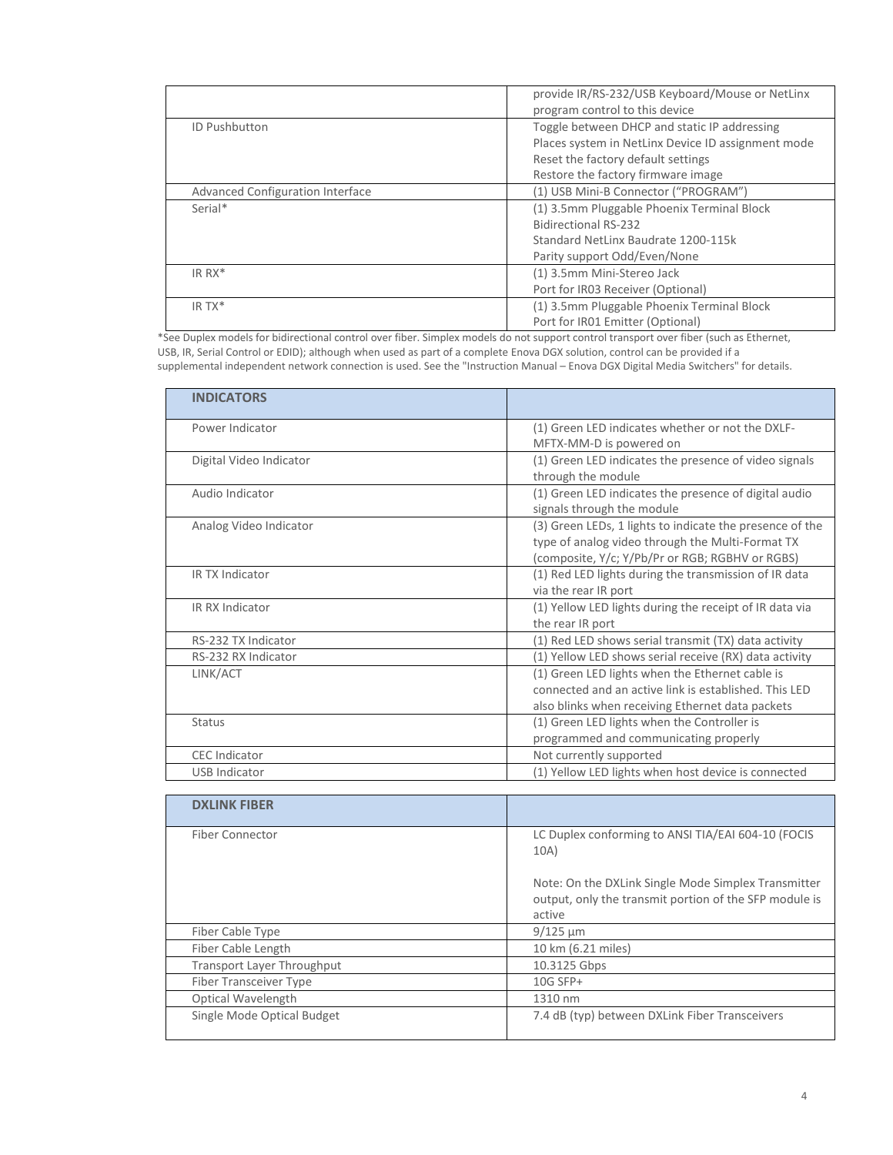|                                         | provide IR/RS-232/USB Keyboard/Mouse or NetLinx<br>program control to this device |
|-----------------------------------------|-----------------------------------------------------------------------------------|
| <b>ID Pushbutton</b>                    | Toggle between DHCP and static IP addressing                                      |
|                                         | Places system in NetLinx Device ID assignment mode                                |
|                                         | Reset the factory default settings                                                |
|                                         | Restore the factory firmware image                                                |
| <b>Advanced Configuration Interface</b> | (1) USB Mini-B Connector ("PROGRAM")                                              |
| Serial*                                 | (1) 3.5mm Pluggable Phoenix Terminal Block                                        |
|                                         | <b>Bidirectional RS-232</b>                                                       |
|                                         | Standard NetLinx Baudrate 1200-115k                                               |
|                                         | Parity support Odd/Even/None                                                      |
| IR RX*                                  | (1) 3.5mm Mini-Stereo Jack                                                        |
|                                         | Port for IR03 Receiver (Optional)                                                 |
| IR TX*                                  | (1) 3.5mm Pluggable Phoenix Terminal Block                                        |
|                                         | Port for IR01 Emitter (Optional)                                                  |

\*See Duplex models for bidirectional control over fiber. Simplex models do not support control transport over fiber (such as Ethernet, USB, IR, Serial Control or EDID); although when used as part of a complete Enova DGX solution, control can be provided if a supplemental independent network connection is used. See the "Instruction Manual – Enova DGX Digital Media Switchers" for details.

| <b>INDICATORS</b>             |                                                                                                                                                                 |
|-------------------------------|-----------------------------------------------------------------------------------------------------------------------------------------------------------------|
| Power Indicator               | (1) Green LED indicates whether or not the DXLF-<br>MFTX-MM-D is powered on                                                                                     |
| Digital Video Indicator       | (1) Green LED indicates the presence of video signals<br>through the module                                                                                     |
| Audio Indicator               | (1) Green LED indicates the presence of digital audio<br>signals through the module                                                                             |
| Analog Video Indicator        | (3) Green LEDs, 1 lights to indicate the presence of the<br>type of analog video through the Multi-Format TX<br>(composite, Y/c; Y/Pb/Pr or RGB; RGBHV or RGBS) |
| IR TX Indicator               | (1) Red LED lights during the transmission of IR data<br>via the rear IR port                                                                                   |
| IR RX Indicator               | (1) Yellow LED lights during the receipt of IR data via<br>the rear IR port                                                                                     |
| RS-232 TX Indicator           | (1) Red LED shows serial transmit (TX) data activity                                                                                                            |
| RS-232 RX Indicator           | (1) Yellow LED shows serial receive (RX) data activity                                                                                                          |
| LINK/ACT                      | (1) Green LED lights when the Ethernet cable is<br>connected and an active link is established. This LED<br>also blinks when receiving Ethernet data packets    |
| <b>Status</b>                 | (1) Green LED lights when the Controller is<br>programmed and communicating properly                                                                            |
| <b>CEC</b> Indicator          | Not currently supported                                                                                                                                         |
| <b>USB Indicator</b>          | (1) Yellow LED lights when host device is connected                                                                                                             |
| <b>DXLINK FIBER</b>           |                                                                                                                                                                 |
| <b>Fiber Connector</b>        | LC Duplex conforming to ANSI TIA/EAI 604-10 (FOCIS<br>10A)                                                                                                      |
|                               | Note: On the DXLink Single Mode Simplex Transmitter<br>output, only the transmit portion of the SFP module is<br>active                                         |
| Fiber Cable Type              | $9/125 \mu m$                                                                                                                                                   |
| Fiber Cable Length            | 10 km (6.21 miles)                                                                                                                                              |
| Transport Layer Throughput    | 10.3125 Gbps                                                                                                                                                    |
| <b>Fiber Transceiver Type</b> | 10G SFP+                                                                                                                                                        |

Optical Wavelength 1310 nm<br>
Single Mode Optical Budget 7.4 dB (ty

7.4 dB (typ) between DXLink Fiber Transceivers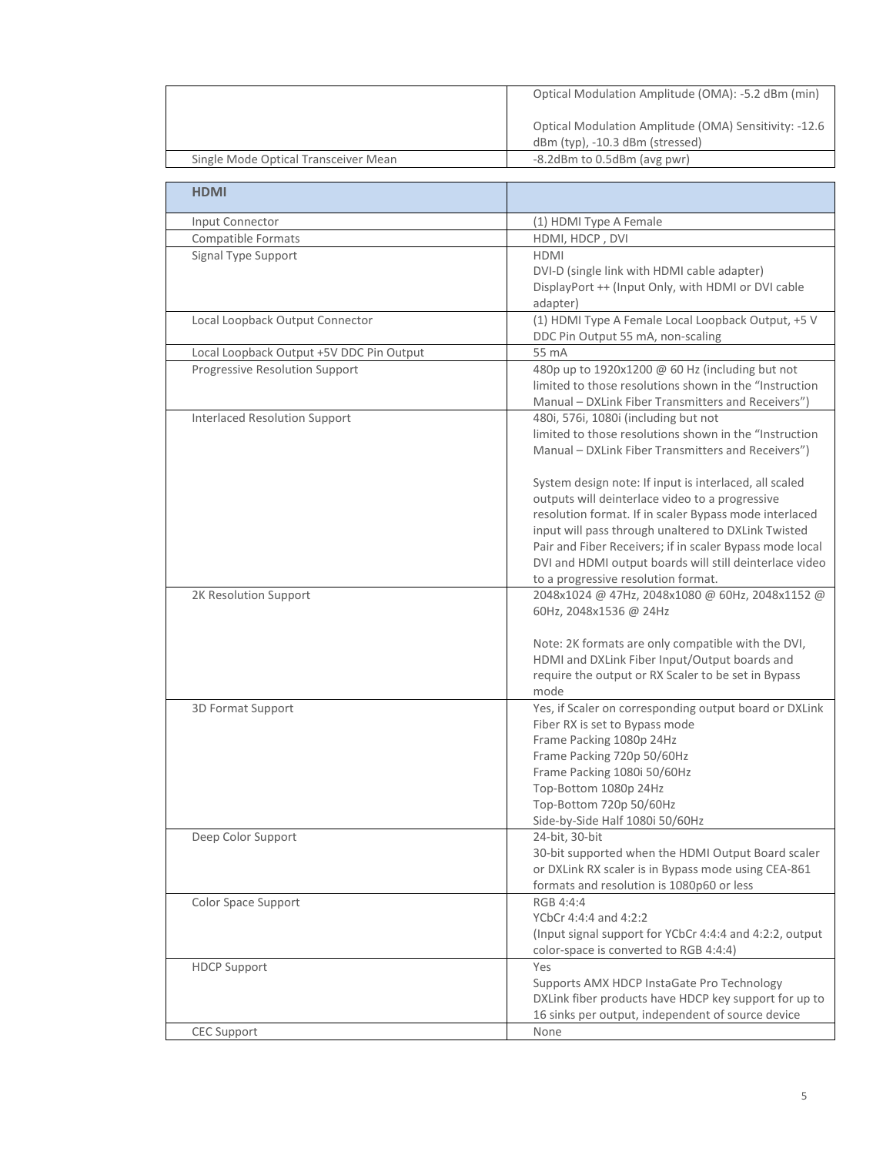|                                          | Optical Modulation Amplitude (OMA): -5.2 dBm (min)                                                                                                                                                                                                                                                                                                                                       |
|------------------------------------------|------------------------------------------------------------------------------------------------------------------------------------------------------------------------------------------------------------------------------------------------------------------------------------------------------------------------------------------------------------------------------------------|
|                                          | Optical Modulation Amplitude (OMA) Sensitivity: -12.6<br>dBm (typ), -10.3 dBm (stressed)                                                                                                                                                                                                                                                                                                 |
| Single Mode Optical Transceiver Mean     | -8.2dBm to 0.5dBm (avg pwr)                                                                                                                                                                                                                                                                                                                                                              |
|                                          |                                                                                                                                                                                                                                                                                                                                                                                          |
| <b>HDMI</b>                              |                                                                                                                                                                                                                                                                                                                                                                                          |
| Input Connector                          | (1) HDMI Type A Female                                                                                                                                                                                                                                                                                                                                                                   |
| Compatible Formats                       | HDMI, HDCP, DVI                                                                                                                                                                                                                                                                                                                                                                          |
| Signal Type Support                      | <b>HDMI</b><br>DVI-D (single link with HDMI cable adapter)<br>DisplayPort ++ (Input Only, with HDMI or DVI cable<br>adapter)                                                                                                                                                                                                                                                             |
| Local Loopback Output Connector          | (1) HDMI Type A Female Local Loopback Output, +5 V<br>DDC Pin Output 55 mA, non-scaling                                                                                                                                                                                                                                                                                                  |
| Local Loopback Output +5V DDC Pin Output | 55 mA                                                                                                                                                                                                                                                                                                                                                                                    |
| Progressive Resolution Support           | 480p up to 1920x1200 @ 60 Hz (including but not<br>limited to those resolutions shown in the "Instruction<br>Manual - DXLink Fiber Transmitters and Receivers")                                                                                                                                                                                                                          |
| <b>Interlaced Resolution Support</b>     | 480i, 576i, 1080i (including but not<br>limited to those resolutions shown in the "Instruction<br>Manual - DXLink Fiber Transmitters and Receivers")                                                                                                                                                                                                                                     |
|                                          | System design note: If input is interlaced, all scaled<br>outputs will deinterlace video to a progressive<br>resolution format. If in scaler Bypass mode interlaced<br>input will pass through unaltered to DXLink Twisted<br>Pair and Fiber Receivers; if in scaler Bypass mode local<br>DVI and HDMI output boards will still deinterlace video<br>to a progressive resolution format. |
| 2K Resolution Support                    | 2048x1024 @ 47Hz, 2048x1080 @ 60Hz, 2048x1152 @<br>60Hz, 2048x1536 @ 24Hz                                                                                                                                                                                                                                                                                                                |
|                                          | Note: 2K formats are only compatible with the DVI,<br>HDMI and DXLink Fiber Input/Output boards and<br>require the output or RX Scaler to be set in Bypass<br>mode                                                                                                                                                                                                                       |
| 3D Format Support                        | Yes, if Scaler on corresponding output board or DXLink<br>Fiber RX is set to Bypass mode<br>Frame Packing 1080p 24Hz<br>Frame Packing 720p 50/60Hz<br>Frame Packing 1080i 50/60Hz<br>Top-Bottom 1080p 24Hz<br>Top-Bottom 720p 50/60Hz<br>Side-by-Side Half 1080i 50/60Hz                                                                                                                 |
| Deep Color Support                       | 24-bit, 30-bit<br>30-bit supported when the HDMI Output Board scaler<br>or DXLink RX scaler is in Bypass mode using CEA-861<br>formats and resolution is 1080p60 or less                                                                                                                                                                                                                 |
| Color Space Support                      | RGB 4:4:4<br>YCbCr 4:4:4 and 4:2:2<br>(Input signal support for YCbCr 4:4:4 and 4:2:2, output<br>color-space is converted to RGB 4:4:4)                                                                                                                                                                                                                                                  |
| <b>HDCP Support</b>                      | Yes<br>Supports AMX HDCP InstaGate Pro Technology<br>DXLink fiber products have HDCP key support for up to<br>16 sinks per output, independent of source device                                                                                                                                                                                                                          |
| <b>CEC Support</b>                       | None                                                                                                                                                                                                                                                                                                                                                                                     |
|                                          |                                                                                                                                                                                                                                                                                                                                                                                          |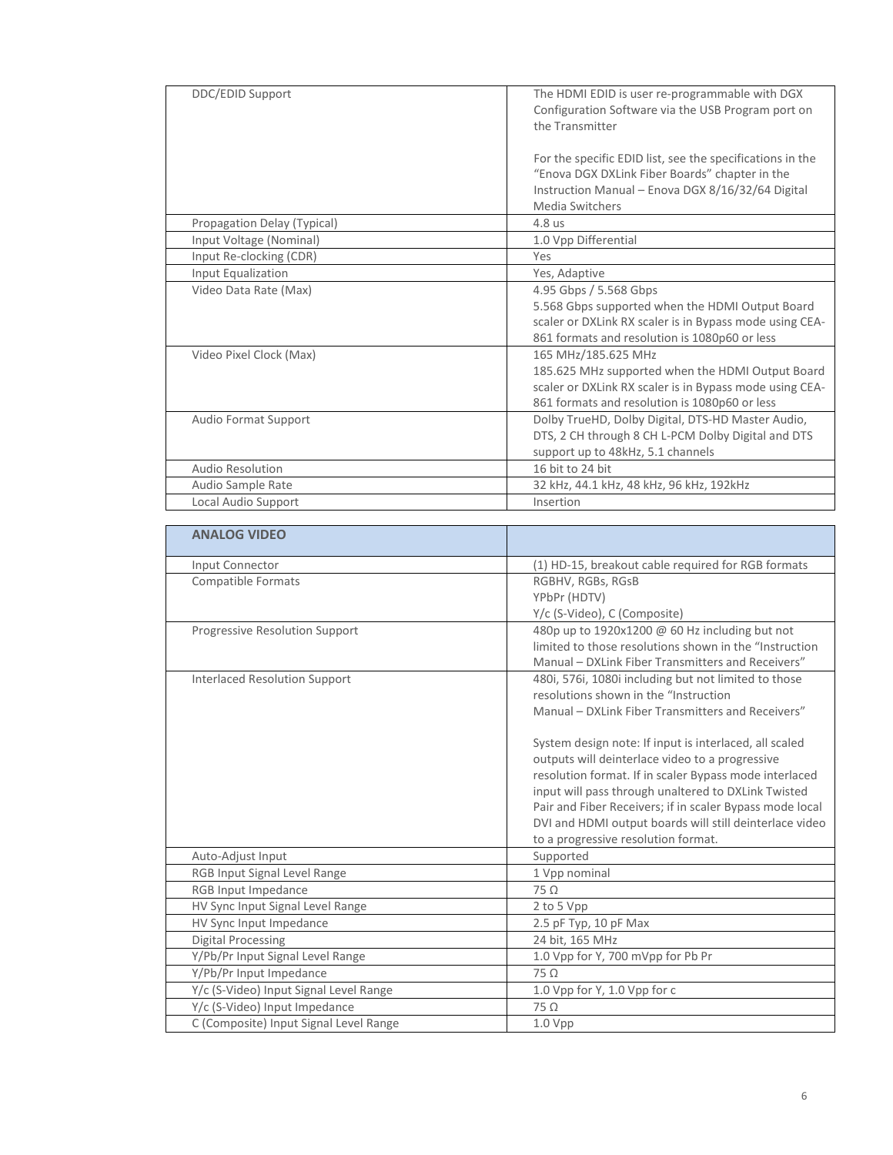| DDC/EDID Support            | The HDMI EDID is user re-programmable with DGX<br>Configuration Software via the USB Program port on<br>the Transmitter                                                             |
|-----------------------------|-------------------------------------------------------------------------------------------------------------------------------------------------------------------------------------|
|                             | For the specific EDID list, see the specifications in the<br>"Enova DGX DXLink Fiber Boards" chapter in the<br>Instruction Manual - Enova DGX 8/16/32/64 Digital<br>Media Switchers |
| Propagation Delay (Typical) | 4.8 us                                                                                                                                                                              |
| Input Voltage (Nominal)     | 1.0 Vpp Differential                                                                                                                                                                |
| Input Re-clocking (CDR)     | Yes                                                                                                                                                                                 |
| Input Equalization          | Yes, Adaptive                                                                                                                                                                       |
| Video Data Rate (Max)       | 4.95 Gbps / 5.568 Gbps                                                                                                                                                              |
|                             | 5.568 Gbps supported when the HDMI Output Board                                                                                                                                     |
|                             | scaler or DXLink RX scaler is in Bypass mode using CEA-                                                                                                                             |
|                             | 861 formats and resolution is 1080p60 or less                                                                                                                                       |
| Video Pixel Clock (Max)     | 165 MHz/185.625 MHz                                                                                                                                                                 |
|                             | 185.625 MHz supported when the HDMI Output Board                                                                                                                                    |
|                             | scaler or DXLink RX scaler is in Bypass mode using CEA-                                                                                                                             |
|                             | 861 formats and resolution is 1080p60 or less                                                                                                                                       |
| Audio Format Support        | Dolby TrueHD, Dolby Digital, DTS-HD Master Audio,                                                                                                                                   |
|                             | DTS, 2 CH through 8 CH L-PCM Dolby Digital and DTS                                                                                                                                  |
|                             | support up to 48kHz, 5.1 channels                                                                                                                                                   |
| <b>Audio Resolution</b>     | 16 bit to 24 bit                                                                                                                                                                    |
| Audio Sample Rate           | 32 kHz, 44.1 kHz, 48 kHz, 96 kHz, 192kHz                                                                                                                                            |
| Local Audio Support         | Insertion                                                                                                                                                                           |

| <b>ANALOG VIDEO</b>                    |                                                          |
|----------------------------------------|----------------------------------------------------------|
| Input Connector                        | (1) HD-15, breakout cable required for RGB formats       |
| <b>Compatible Formats</b>              | RGBHV, RGBs, RGsB                                        |
|                                        | YPbPr (HDTV)                                             |
|                                        | Y/c (S-Video), C (Composite)                             |
| Progressive Resolution Support         | 480p up to 1920x1200 @ 60 Hz including but not           |
|                                        | limited to those resolutions shown in the "Instruction   |
|                                        | Manual - DXLink Fiber Transmitters and Receivers"        |
| <b>Interlaced Resolution Support</b>   | 480i, 576i, 1080i including but not limited to those     |
|                                        | resolutions shown in the "Instruction                    |
|                                        | Manual - DXLink Fiber Transmitters and Receivers"        |
|                                        | System design note: If input is interlaced, all scaled   |
|                                        | outputs will deinterlace video to a progressive          |
|                                        | resolution format. If in scaler Bypass mode interlaced   |
|                                        | input will pass through unaltered to DXLink Twisted      |
|                                        | Pair and Fiber Receivers; if in scaler Bypass mode local |
|                                        | DVI and HDMI output boards will still deinterlace video  |
|                                        | to a progressive resolution format.                      |
| Auto-Adjust Input                      | Supported                                                |
| RGB Input Signal Level Range           | 1 Vpp nominal                                            |
| RGB Input Impedance                    | $75\Omega$                                               |
| HV Sync Input Signal Level Range       | 2 to 5 Vpp                                               |
| HV Sync Input Impedance                | 2.5 pF Typ, 10 pF Max                                    |
| <b>Digital Processing</b>              | 24 bit, 165 MHz                                          |
| Y/Pb/Pr Input Signal Level Range       | 1.0 Vpp for Y, 700 mVpp for Pb Pr                        |
| Y/Pb/Pr Input Impedance                | $75\Omega$                                               |
| Y/c (S-Video) Input Signal Level Range | 1.0 Vpp for Y, 1.0 Vpp for c                             |
| Y/c (S-Video) Input Impedance          | $75\Omega$                                               |
| C (Composite) Input Signal Level Range | 1.0 Vpp                                                  |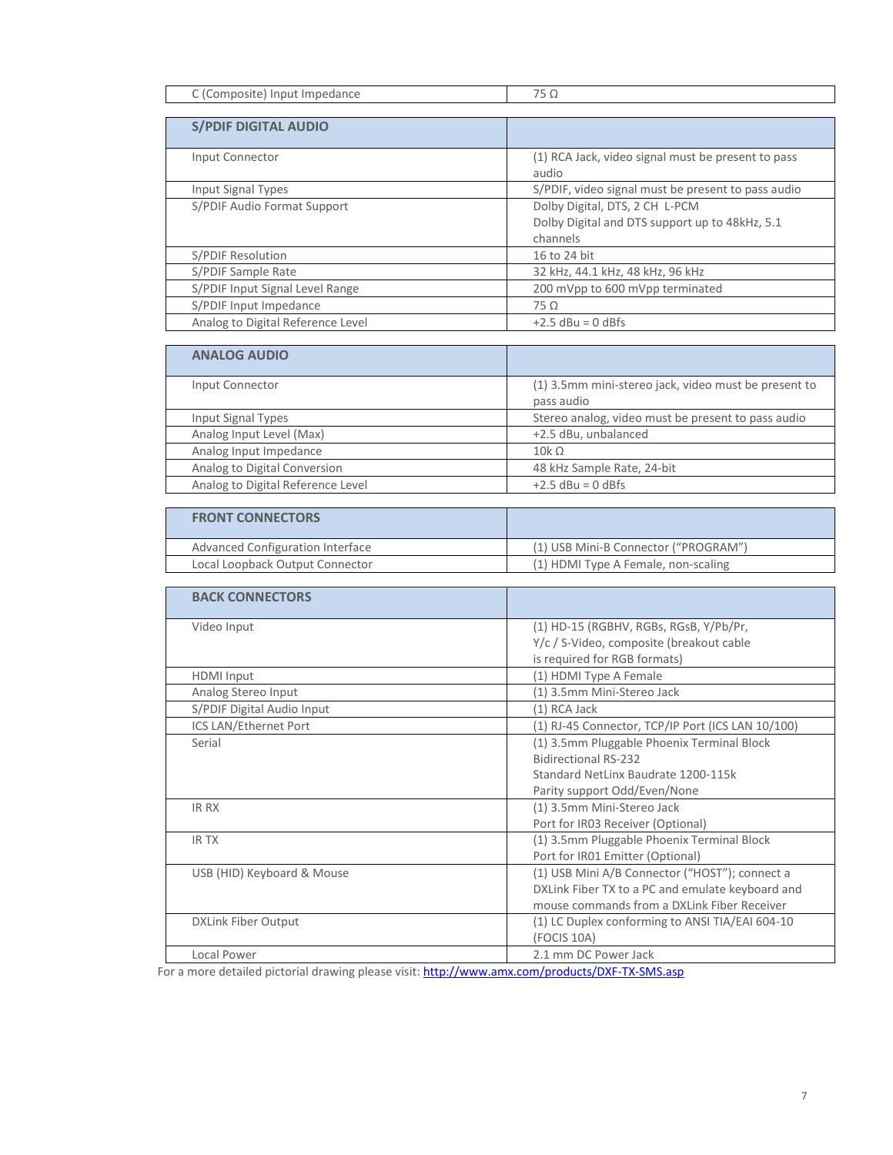| <br>$\rightarrow$ |
|-------------------|

| <b>S/PDIF DIGITAL AUDIO</b>       |                                                    |
|-----------------------------------|----------------------------------------------------|
| Input Connector                   | (1) RCA Jack, video signal must be present to pass |
|                                   |                                                    |
|                                   | audio                                              |
| Input Signal Types                | S/PDIF, video signal must be present to pass audio |
| S/PDIF Audio Format Support       | Dolby Digital, DTS, 2 CH L-PCM                     |
|                                   | Dolby Digital and DTS support up to 48kHz, 5.1     |
|                                   | channels                                           |
| S/PDIF Resolution                 | 16 to 24 bit                                       |
| S/PDIF Sample Rate                | 32 kHz, 44.1 kHz, 48 kHz, 96 kHz                   |
| S/PDIF Input Signal Level Range   | 200 mVpp to 600 mVpp terminated                    |
| S/PDIF Input Impedance            | $75\Omega$                                         |
| Analog to Digital Reference Level | $+2.5$ dBu = 0 dBfs                                |

| <b>ANALOG AUDIO</b>               |                                                                    |
|-----------------------------------|--------------------------------------------------------------------|
| Input Connector                   | (1) 3.5mm mini-stereo jack, video must be present to<br>pass audio |
| Input Signal Types                | Stereo analog, video must be present to pass audio                 |
| Analog Input Level (Max)          | +2.5 dBu, unbalanced                                               |
| Analog Input Impedance            | $10k\Omega$                                                        |
| Analog to Digital Conversion      | 48 kHz Sample Rate, 24-bit                                         |
| Analog to Digital Reference Level | $+2.5$ dBu = 0 dBfs                                                |

| (1) USB Mini-B Connector ("PROGRAM") |
|--------------------------------------|
| (1) HDMI Type A Female, non-scaling  |
|                                      |

| <b>BACK CONNECTORS</b>     |                                                   |
|----------------------------|---------------------------------------------------|
| Video Input                | (1) HD-15 (RGBHV, RGBs, RGsB, Y/Pb/Pr,            |
|                            | Y/c / S-Video, composite (breakout cable          |
|                            | is required for RGB formats)                      |
| <b>HDMI</b> Input          | (1) HDMI Type A Female                            |
| Analog Stereo Input        | (1) 3.5mm Mini-Stereo Jack                        |
| S/PDIF Digital Audio Input | (1) RCA Jack                                      |
| ICS LAN/Ethernet Port      | (1) RJ-45 Connector, TCP/IP Port (ICS LAN 10/100) |
| Serial                     | (1) 3.5mm Pluggable Phoenix Terminal Block        |
|                            | <b>Bidirectional RS-232</b>                       |
|                            | Standard NetLinx Baudrate 1200-115k               |
|                            | Parity support Odd/Even/None                      |
| <b>IR RX</b>               | (1) 3.5mm Mini-Stereo Jack                        |
|                            | Port for IR03 Receiver (Optional)                 |
| <b>IRTX</b>                | (1) 3.5mm Pluggable Phoenix Terminal Block        |
|                            | Port for IR01 Emitter (Optional)                  |
| USB (HID) Keyboard & Mouse | (1) USB Mini A/B Connector ("HOST"); connect a    |
|                            | DXLink Fiber TX to a PC and emulate keyboard and  |
|                            | mouse commands from a DXLink Fiber Receiver       |
| <b>DXLink Fiber Output</b> | (1) LC Duplex conforming to ANSI TIA/EAI 604-10   |
|                            | (FOCIS 10A)                                       |
| Local Power                | 2.1 mm DC Power Jack                              |

For a more detailed pictorial drawing please visit[: http://www.amx.com/products/DXF-TX-SMS.asp](http://www.amx.com/products/DXF-TX-SMS.asp)